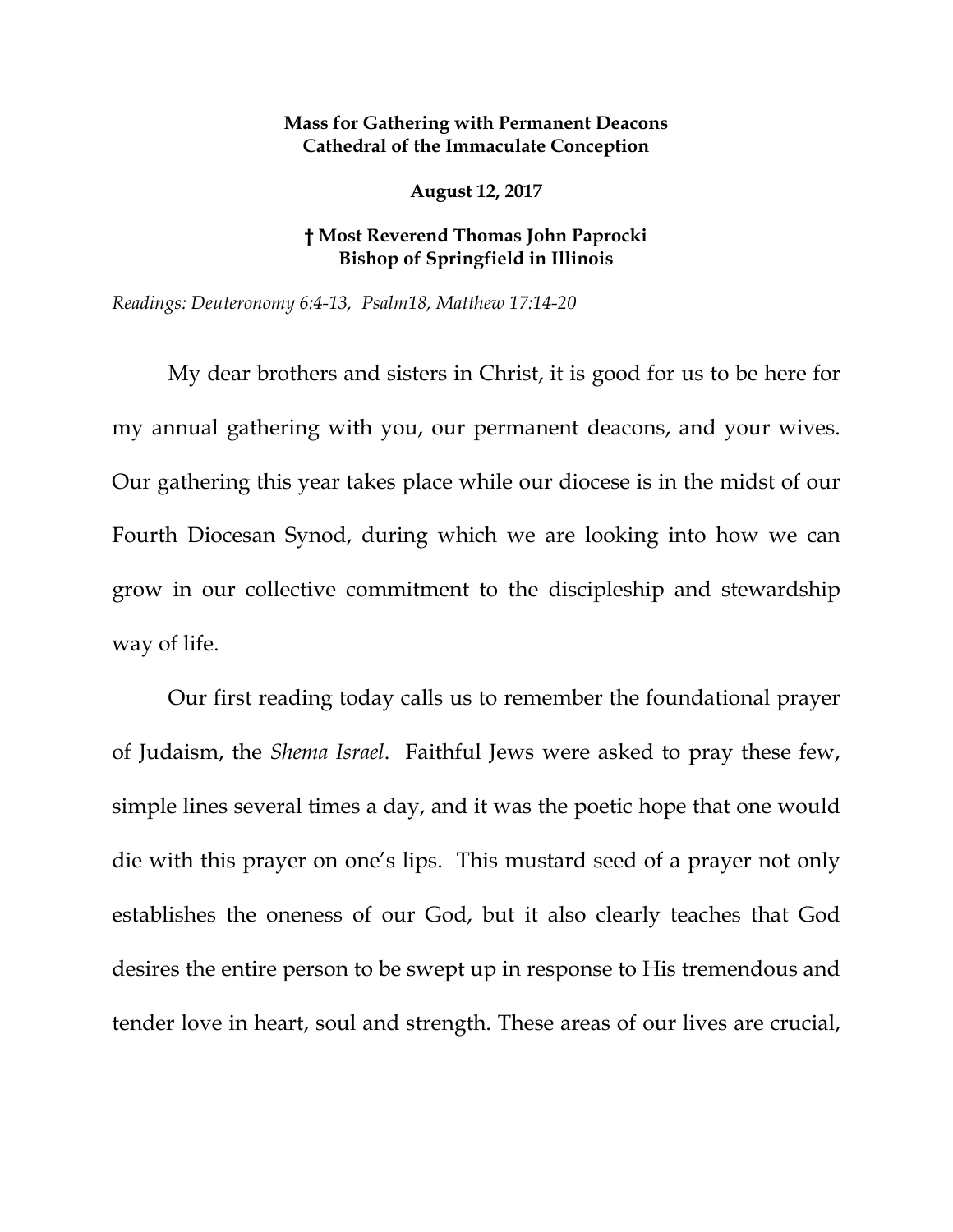## **Mass for Gathering with Permanent Deacons Cathedral of the Immaculate Conception**

**August 12, 2017**

## **† Most Reverend Thomas John Paprocki Bishop of Springfield in Illinois**

*Readings: Deuteronomy 6:4-13, Psalm18, Matthew 17:14-20*

My dear brothers and sisters in Christ, it is good for us to be here for my annual gathering with you, our permanent deacons, and your wives. Our gathering this year takes place while our diocese is in the midst of our Fourth Diocesan Synod, during which we are looking into how we can grow in our collective commitment to the discipleship and stewardship way of life.

Our first reading today calls us to remember the foundational prayer of Judaism, the *Shema Israel*. Faithful Jews were asked to pray these few, simple lines several times a day, and it was the poetic hope that one would die with this prayer on one's lips. This mustard seed of a prayer not only establishes the oneness of our God, but it also clearly teaches that God desires the entire person to be swept up in response to His tremendous and tender love in heart, soul and strength. These areas of our lives are crucial,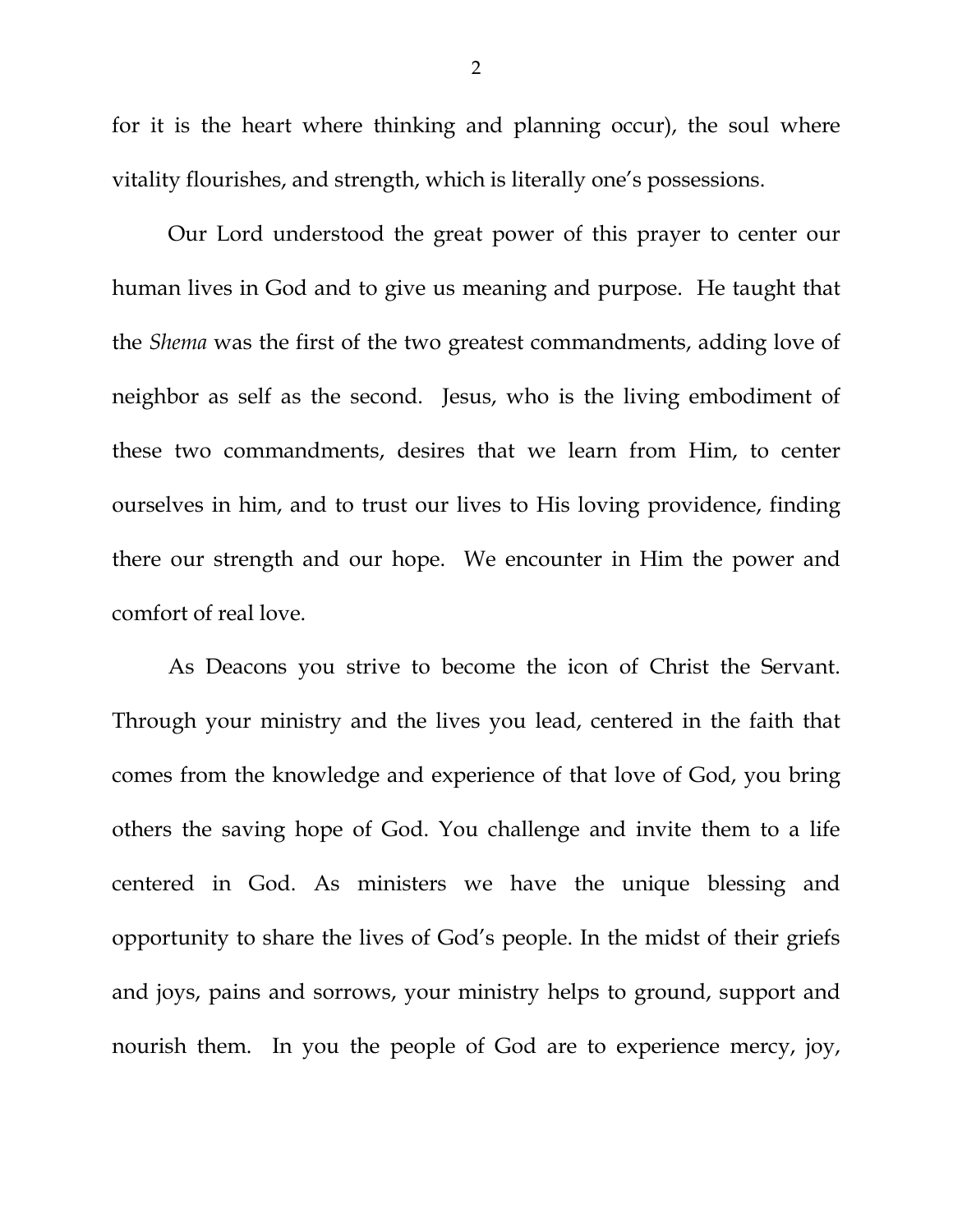for it is the heart where thinking and planning occur), the soul where vitality flourishes, and strength, which is literally one's possessions.

Our Lord understood the great power of this prayer to center our human lives in God and to give us meaning and purpose. He taught that the *Shema* was the first of the two greatest commandments, adding love of neighbor as self as the second. Jesus, who is the living embodiment of these two commandments, desires that we learn from Him, to center ourselves in him, and to trust our lives to His loving providence, finding there our strength and our hope. We encounter in Him the power and comfort of real love.

As Deacons you strive to become the icon of Christ the Servant. Through your ministry and the lives you lead, centered in the faith that comes from the knowledge and experience of that love of God, you bring others the saving hope of God. You challenge and invite them to a life centered in God. As ministers we have the unique blessing and opportunity to share the lives of God's people. In the midst of their griefs and joys, pains and sorrows, your ministry helps to ground, support and nourish them. In you the people of God are to experience mercy, joy,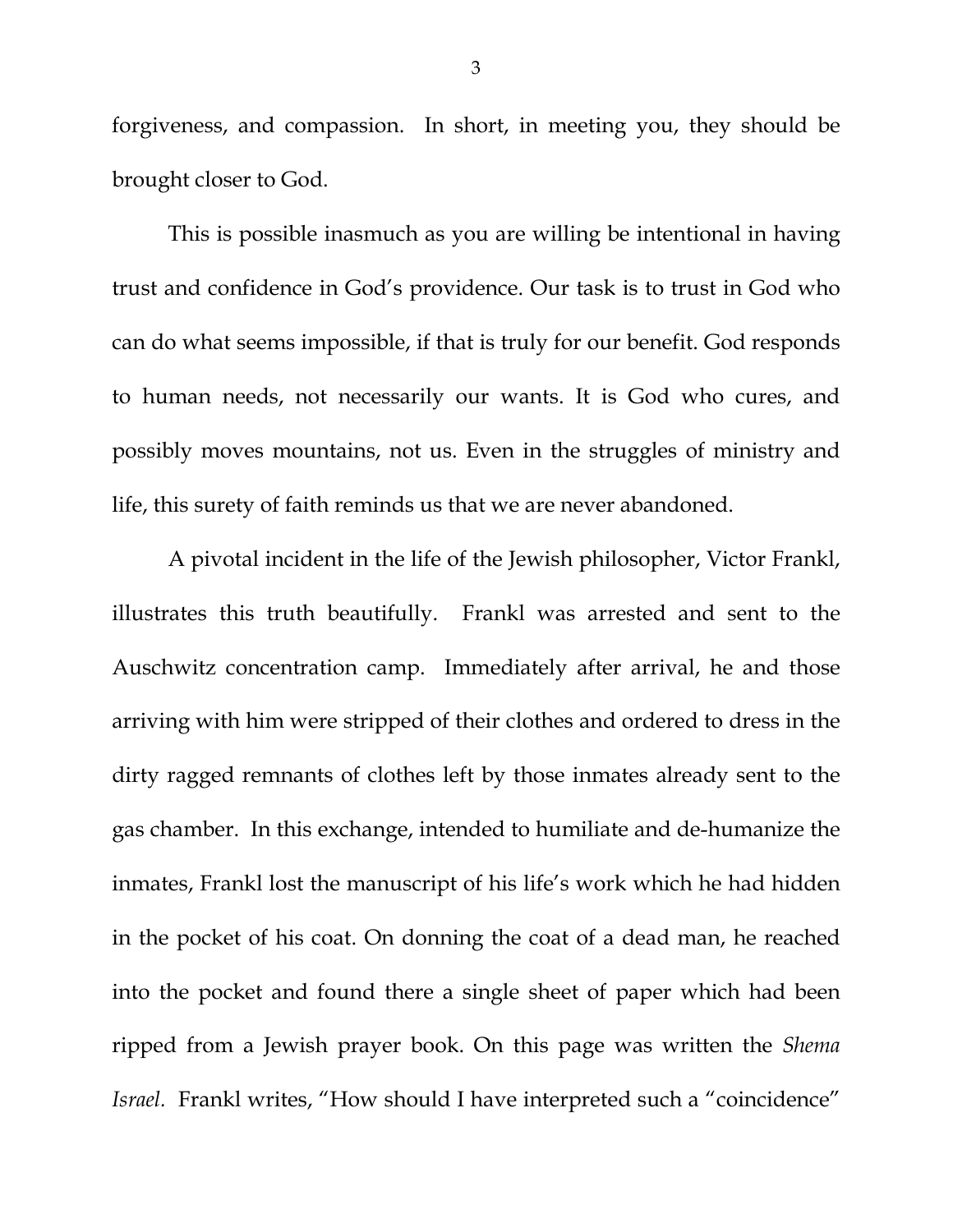forgiveness, and compassion. In short, in meeting you, they should be brought closer to God.

This is possible inasmuch as you are willing be intentional in having trust and confidence in God's providence. Our task is to trust in God who can do what seems impossible, if that is truly for our benefit. God responds to human needs, not necessarily our wants. It is God who cures, and possibly moves mountains, not us. Even in the struggles of ministry and life, this surety of faith reminds us that we are never abandoned.

A pivotal incident in the life of the Jewish philosopher, Victor Frankl, illustrates this truth beautifully. Frankl was arrested and sent to the Auschwitz concentration camp. Immediately after arrival, he and those arriving with him were stripped of their clothes and ordered to dress in the dirty ragged remnants of clothes left by those inmates already sent to the gas chamber. In this exchange, intended to humiliate and de-humanize the inmates, Frankl lost the manuscript of his life's work which he had hidden in the pocket of his coat. On donning the coat of a dead man, he reached into the pocket and found there a single sheet of paper which had been ripped from a Jewish prayer book. On this page was written the *Shema Israel.* Frankl writes, "How should I have interpreted such a "coincidence"